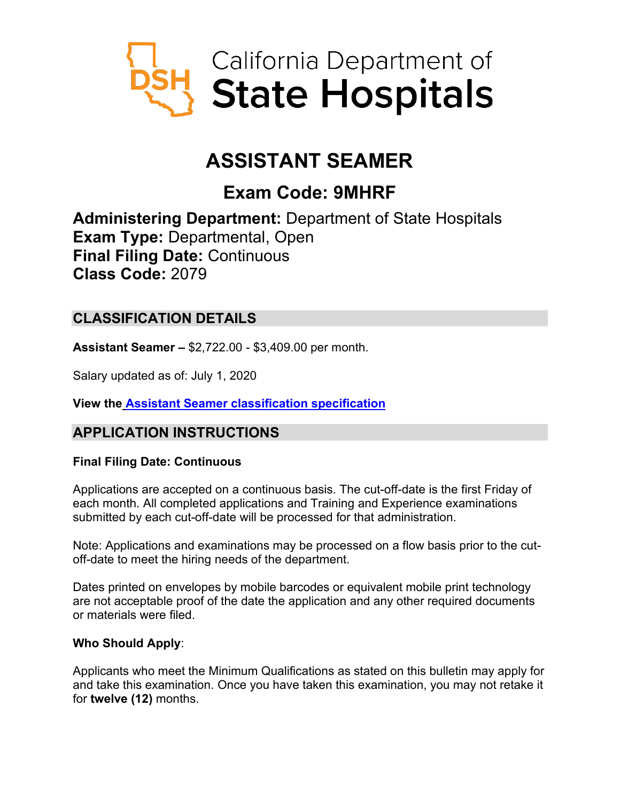

# **ASSISTANT SEAMER**

## **Exam Code: 9MHRF**

**Administering Department:** Department of State Hospitals **Exam Type:** Departmental, Open **Final Filing Date:** Continuous **Class Code:** 2079

## **CLASSIFICATION DETAILS**

**Assistant Seamer –** \$2,722.00 - \$3,409.00 per month.

Salary updated as of: July 1, 2020

**View the Assistant Seamer [classification specification](https://www.calhr.ca.gov/state-hr-professionals/Pages/2079.aspx)**

## **APPLICATION INSTRUCTIONS**

#### **Final Filing Date: Continuous**

Applications are accepted on a continuous basis. The cut-off-date is the first Friday of each month. All completed applications and Training and Experience examinations submitted by each cut-off-date will be processed for that administration.

Note: Applications and examinations may be processed on a flow basis prior to the cutoff-date to meet the hiring needs of the department.

Dates printed on envelopes by mobile barcodes or equivalent mobile print technology are not acceptable proof of the date the application and any other required documents or materials were filed.

#### **Who Should Apply**:

Applicants who meet the Minimum Qualifications as stated on this bulletin may apply for and take this examination. Once you have taken this examination, you may not retake it for **twelve (12)** months.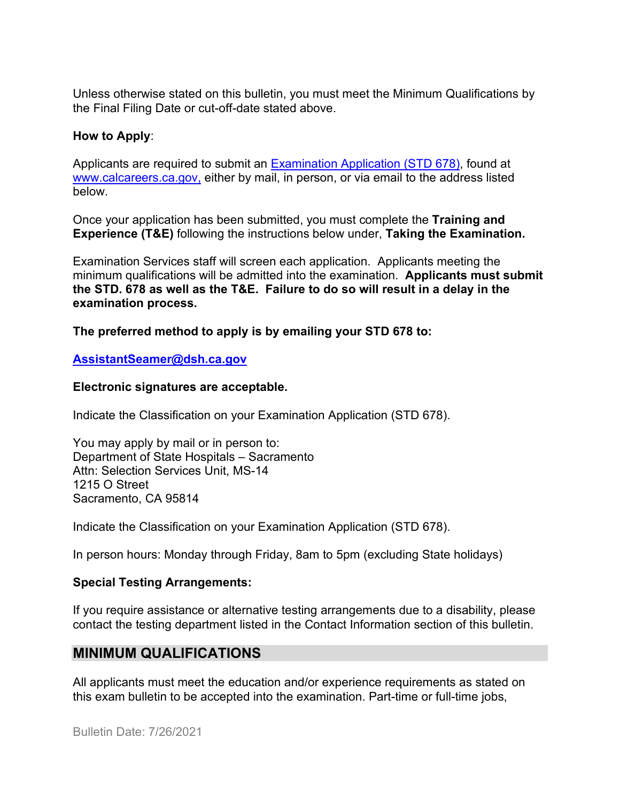Unless otherwise stated on this bulletin, you must meet the Minimum Qualifications by the Final Filing Date or cut-off-date stated above.

#### **How to Apply**:

Applicants are required to submit an [Examination Application \(STD 678\),](https://jobs.ca.gov/pdf/std678.pdf) found at [www.calcareers.ca.gov,](http://www.calcareers.ca.gov/) either by mail, in person, or via email to the address listed below.

Once your application has been submitted, you must complete the **Training and Experience (T&E)** following the instructions below under, **Taking the Examination.**

Examination Services staff will screen each application. Applicants meeting the minimum qualifications will be admitted into the examination. **Applicants must submit the STD. 678 as well as the T&E. Failure to do so will result in a delay in the examination process.**

**The preferred method to apply is by emailing your STD 678 to:**

#### **[AssistantSeamer@dsh.ca.gov](mailto:AssistantSeamer@dsh.ca.gov)**

#### **Electronic signatures are acceptable.**

Indicate the Classification on your Examination Application (STD 678).

You may apply by mail or in person to: Department of State Hospitals – Sacramento Attn: Selection Services Unit, MS-14 1215 O Street Sacramento, CA 95814

Indicate the Classification on your Examination Application (STD 678).

In person hours: Monday through Friday, 8am to 5pm (excluding State holidays)

#### **Special Testing Arrangements:**

If you require assistance or alternative testing arrangements due to a disability, please contact the testing department listed in the Contact Information section of this bulletin.

## **MINIMUM QUALIFICATIONS**

All applicants must meet the education and/or experience requirements as stated on this exam bulletin to be accepted into the examination. Part-time or full-time jobs,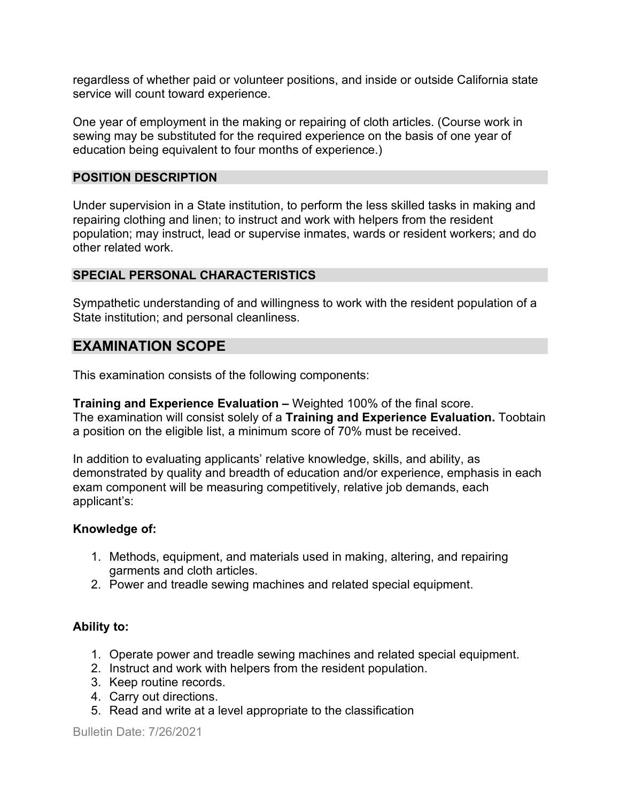regardless of whether paid or volunteer positions, and inside or outside California state service will count toward experience.

One year of employment in the making or repairing of cloth articles. (Course work in sewing may be substituted for the required experience on the basis of one year of education being equivalent to four months of experience.)

#### **POSITION DESCRIPTION**

Under supervision in a State institution, to perform the less skilled tasks in making and repairing clothing and linen; to instruct and work with helpers from the resident population; may instruct, lead or supervise inmates, wards or resident workers; and do other related work.

#### **SPECIAL PERSONAL CHARACTERISTICS**

Sympathetic understanding of and willingness to work with the resident population of a State institution; and personal cleanliness.

## **EXAMINATION SCOPE**

This examination consists of the following components:

**Training and Experience Evaluation –** Weighted 100% of the final score. The examination will consist solely of a **Training and Experience Evaluation.** Toobtain a position on the eligible list, a minimum score of 70% must be received.

In addition to evaluating applicants' relative knowledge, skills, and ability, as demonstrated by quality and breadth of education and/or experience, emphasis in each exam component will be measuring competitively, relative job demands, each applicant's:

#### **Knowledge of:**

- 1. Methods, equipment, and materials used in making, altering, and repairing garments and cloth articles.
- 2. Power and treadle sewing machines and related special equipment.

#### **Ability to:**

- 1. Operate power and treadle sewing machines and related special equipment.
- 2. Instruct and work with helpers from the resident population.
- 3. Keep routine records.
- 4. Carry out directions.
- 5. Read and write at a level appropriate to the classification

Bulletin Date: 7/26/2021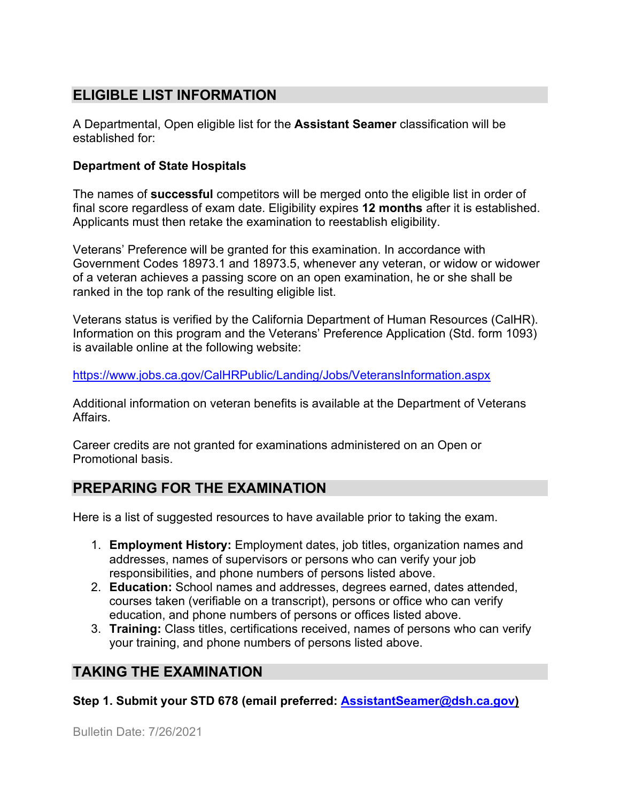## **ELIGIBLE LIST INFORMATION**

A Departmental, Open eligible list for the **Assistant Seamer** classification will be established for:

#### **Department of State Hospitals**

The names of **successful** competitors will be merged onto the eligible list in order of final score regardless of exam date. Eligibility expires **12 months** after it is established. Applicants must then retake the examination to reestablish eligibility.

Veterans' Preference will be granted for this examination. In accordance with Government Codes 18973.1 and 18973.5, whenever any veteran, or widow or widower of a veteran achieves a passing score on an open examination, he or she shall be ranked in the top rank of the resulting eligible list.

Veterans status is verified by the California Department of Human Resources (CalHR). Information on this program and the Veterans' Preference Application (Std. form 1093) is available online at the following website:

<https://www.jobs.ca.gov/CalHRPublic/Landing/Jobs/VeteransInformation.aspx>

Additional information on veteran benefits is available at the Department of Veterans Affairs.

Career credits are not granted for examinations administered on an Open or Promotional basis.

## **PREPARING FOR THE EXAMINATION**

Here is a list of suggested resources to have available prior to taking the exam.

- 1. **Employment History:** Employment dates, job titles, organization names and addresses, names of supervisors or persons who can verify your job responsibilities, and phone numbers of persons listed above.
- 2. **Education:** School names and addresses, degrees earned, dates attended, courses taken (verifiable on a transcript), persons or office who can verify education, and phone numbers of persons or offices listed above.
- 3. **Training:** Class titles, certifications received, names of persons who can verify your training, and phone numbers of persons listed above.

## **TAKING THE EXAMINATION**

**Step 1. Submit your STD 678 (email preferred: [AssistantSeamer@dsh.ca.gov\)](mailto:AssistantSeamer@dsh.ca.gov)**

Bulletin Date: 7/26/2021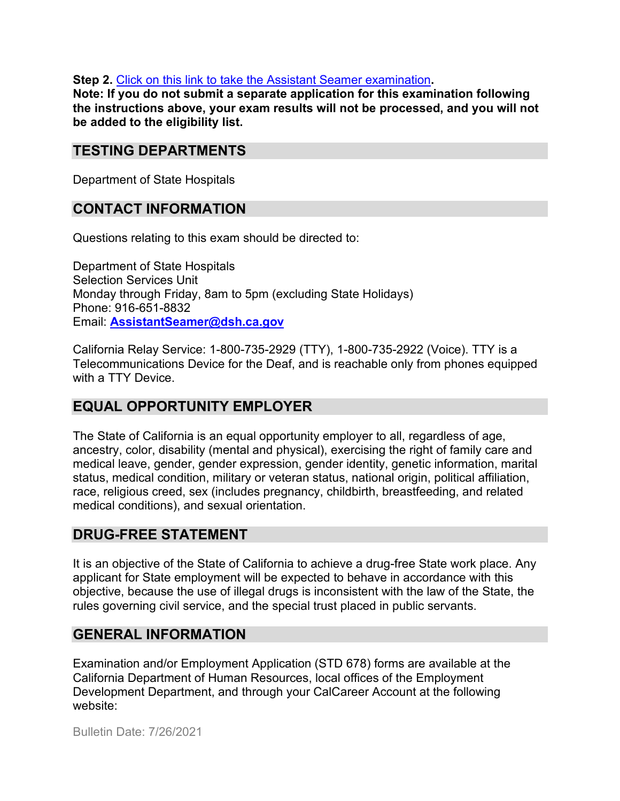**Step 2.** [Click on this link to take the Assistant Seamer](https://www.surveymonkey.com/r/3SHLJP5) examination**.**

**Note: If you do not submit a separate application for this examination following the instructions above, your exam results will not be processed, and you will not be added to the eligibility list.**

## **TESTING DEPARTMENTS**

Department of State Hospitals

## **CONTACT INFORMATION**

Questions relating to this exam should be directed to:

Department of State Hospitals Selection Services Unit Monday through Friday, 8am to 5pm (excluding State Holidays) Phone: 916-651-8832 Email: **[AssistantSeamer@dsh.ca.gov](mailto:TestExam@dsh.ca.gov)**

California Relay Service: 1-800-735-2929 (TTY), 1-800-735-2922 (Voice). TTY is a Telecommunications Device for the Deaf, and is reachable only from phones equipped with a TTY Device.

## **EQUAL OPPORTUNITY EMPLOYER**

The State of California is an equal opportunity employer to all, regardless of age, ancestry, color, disability (mental and physical), exercising the right of family care and medical leave, gender, gender expression, gender identity, genetic information, marital status, medical condition, military or veteran status, national origin, political affiliation, race, religious creed, sex (includes pregnancy, childbirth, breastfeeding, and related medical conditions), and sexual orientation.

## **DRUG-FREE STATEMENT**

It is an objective of the State of California to achieve a drug-free State work place. Any applicant for State employment will be expected to behave in accordance with this objective, because the use of illegal drugs is inconsistent with the law of the State, the rules governing civil service, and the special trust placed in public servants.

## **GENERAL INFORMATION**

Examination and/or Employment Application (STD 678) forms are available at the California Department of Human Resources, local offices of the Employment Development Department, and through your CalCareer Account at the following website:

Bulletin Date: 7/26/2021